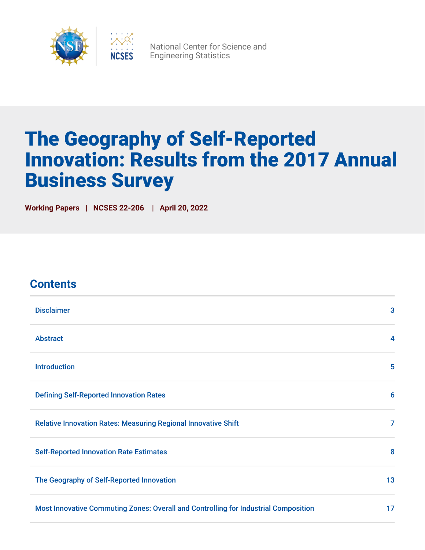

National Center for Science and Engineering Statistics

# The Geography of Self-Reported Innovation: Results from the 2017 Annual Business Survey

**Working Papers | NCSES 22-206 | April 20, 2022**

### **Contents**

| <b>Disclaimer</b>                                                                   | 3                       |
|-------------------------------------------------------------------------------------|-------------------------|
| <b>Abstract</b>                                                                     | $\overline{\mathbf{4}}$ |
| <b>Introduction</b>                                                                 | 5                       |
| <b>Defining Self-Reported Innovation Rates</b>                                      | $6\phantom{1}6$         |
| <b>Relative Innovation Rates: Measuring Regional Innovative Shift</b>               | 7                       |
| <b>Self-Reported Innovation Rate Estimates</b>                                      | 8                       |
| The Geography of Self-Reported Innovation                                           | 13                      |
| Most Innovative Commuting Zones: Overall and Controlling for Industrial Composition | 17                      |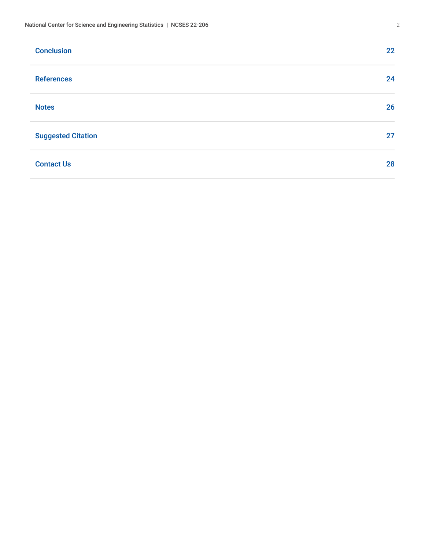| <b>Conclusion</b>         | 22 |
|---------------------------|----|
| <b>References</b>         | 24 |
| <b>Notes</b>              | 26 |
| <b>Suggested Citation</b> | 27 |
| <b>Contact Us</b>         | 28 |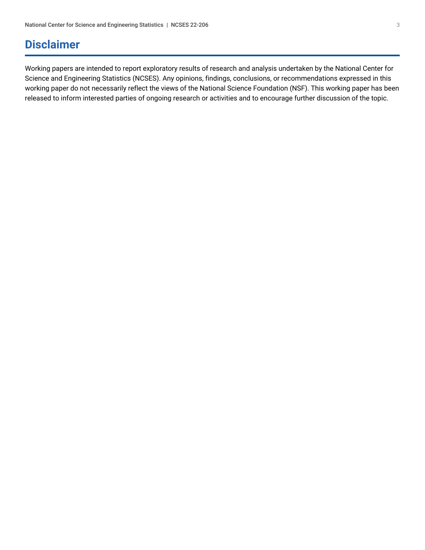### <span id="page-2-0"></span>**Disclaimer**

Working papers are intended to report exploratory results of research and analysis undertaken by the National Center for Science and Engineering Statistics (NCSES). Any opinions, findings, conclusions, or recommendations expressed in this working paper do not necessarily reflect the views of the National Science Foundation (NSF). This working paper has been released to inform interested parties of ongoing research or activities and to encourage further discussion of the topic.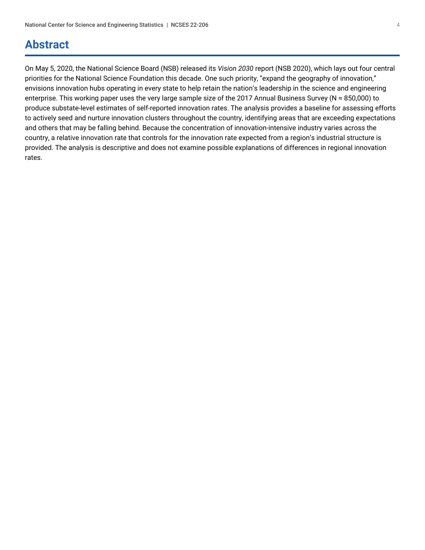### <span id="page-3-0"></span>**Abstract**

On May 5, 2020, the National Science Board (NSB) released its *Vision 2030* report (NSB 2020), which lays out four central priorities for the National Science Foundation this decade. One such priority, "expand the geography of innovation," envisions innovation hubs operating in every state to help retain the nation's leadership in the science and engineering enterprise. This working paper uses the very large sample size of the 2017 Annual Business Survey (N ≈ 850,000) to produce substate-level estimates of self-reported innovation rates. The analysis provides a baseline for assessing efforts to actively seed and nurture innovation clusters throughout the country, identifying areas that are exceeding expectations and others that may be falling behind. Because the concentration of innovation-intensive industry varies across the country, a relative innovation rate that controls for the innovation rate expected from a region's industrial structure is provided. The analysis is descriptive and does not examine possible explanations of differences in regional innovation rates.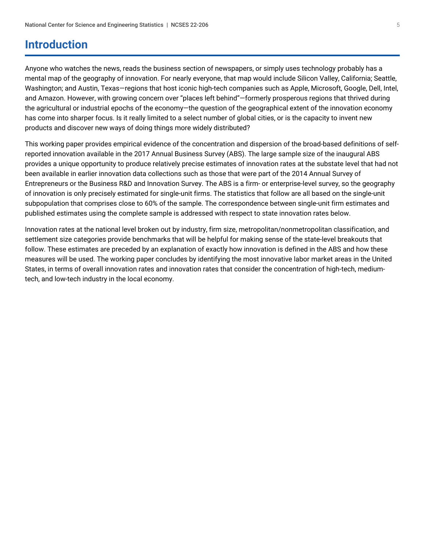### <span id="page-4-0"></span>**Introduction**

Anyone who watches the news, reads the business section of newspapers, or simply uses technology probably has a mental map of the geography of innovation. For nearly everyone, that map would include Silicon Valley, California; Seattle, Washington; and Austin, Texas—regions that host iconic high-tech companies such as Apple, Microsoft, Google, Dell, Intel, and Amazon. However, with growing concern over "places left behind"—formerly prosperous regions that thrived during the agricultural or industrial epochs of the economy—the question of the geographical extent of the innovation economy has come into sharper focus. Is it really limited to a select number of global cities, or is the capacity to invent new products and discover new ways of doing things more widely distributed?

This working paper provides empirical evidence of the concentration and dispersion of the broad-based definitions of selfreported innovation available in the 2017 Annual Business Survey (ABS). The large sample size of the inaugural ABS provides a unique opportunity to produce relatively precise estimates of innovation rates at the substate level that had not been available in earlier innovation data collections such as those that were part of the 2014 Annual Survey of Entrepreneurs or the Business R&D and Innovation Survey. The ABS is a firm- or enterprise-level survey, so the geography of innovation is only precisely estimated for single-unit firms. The statistics that follow are all based on the single-unit subpopulation that comprises close to 60% of the sample. The correspondence between single-unit firm estimates and published estimates using the complete sample is addressed with respect to state innovation rates below.

Innovation rates at the national level broken out by industry, firm size, metropolitan/nonmetropolitan classification, and settlement size categories provide benchmarks that will be helpful for making sense of the state-level breakouts that follow. These estimates are preceded by an explanation of exactly how innovation is defined in the ABS and how these measures will be used. The working paper concludes by identifying the most innovative labor market areas in the United States, in terms of overall innovation rates and innovation rates that consider the concentration of high-tech, mediumtech, and low-tech industry in the local economy.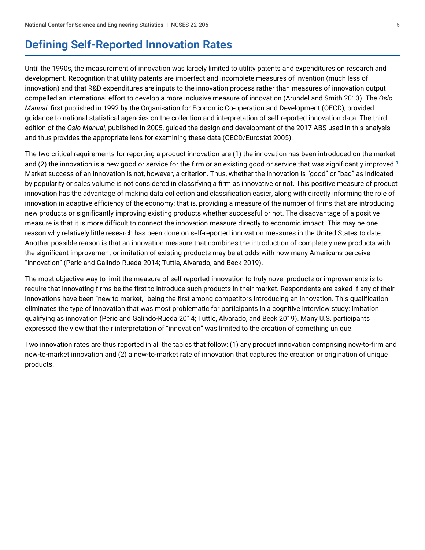### <span id="page-5-0"></span>**Defining Self-Reported Innovation Rates**

Until the 1990s, the measurement of innovation was largely limited to utility patents and expenditures on research and development. Recognition that utility patents are imperfect and incomplete measures of invention (much less of innovation) and that R&D expenditures are inputs to the innovation process rather than measures of innovation output compelled an international effort to develop a more inclusive measure of innovation (Arundel and Smith 2013). The *Oslo Manual*, first published in 1992 by the Organisation for Economic Co-operation and Development (OECD), provided guidance to national statistical agencies on the collection and interpretation of self-reported innovation data. The third edition of the *Oslo Manual*, published in 2005, guided the design and development of the 2017 ABS used in this analysis and thus provides the appropriate lens for examining these data (OECD/Eurostat 2005).

<span id="page-5-1"></span>The two critical requirements for reporting a product innovation are (1) the innovation has been introduced on the market and (2) the innovation is a new good or service for the firm or an existing good or service that was significantly improved.<sup>[1](#page-25-1)</sup> Market success of an innovation is not, however, a criterion. Thus, whether the innovation is "good" or "bad" as indicated by popularity or sales volume is not considered in classifying a firm as innovative or not. This positive measure of product innovation has the advantage of making data collection and classification easier, along with directly informing the role of innovation in adaptive efficiency of the economy; that is, providing a measure of the number of firms that are introducing new products or significantly improving existing products whether successful or not. The disadvantage of a positive measure is that it is more difficult to connect the innovation measure directly to economic impact. This may be one reason why relatively little research has been done on self-reported innovation measures in the United States to date. Another possible reason is that an innovation measure that combines the introduction of completely new products with the significant improvement or imitation of existing products may be at odds with how many Americans perceive "innovation" (Peric and Galindo-Rueda 2014; Tuttle, Alvarado, and Beck 2019).

The most objective way to limit the measure of self-reported innovation to truly novel products or improvements is to require that innovating firms be the first to introduce such products in their market. Respondents are asked if any of their innovations have been "new to market," being the first among competitors introducing an innovation. This qualification eliminates the type of innovation that was most problematic for participants in a cognitive interview study: imitation qualifying as innovation (Peric and Galindo-Rueda 2014; Tuttle, Alvarado, and Beck 2019). Many U.S. participants expressed the view that their interpretation of "innovation" was limited to the creation of something unique.

Two innovation rates are thus reported in all the tables that follow: (1) any product innovation comprising new-to-firm and new-to-market innovation and (2) a new-to-market rate of innovation that captures the creation or origination of unique products.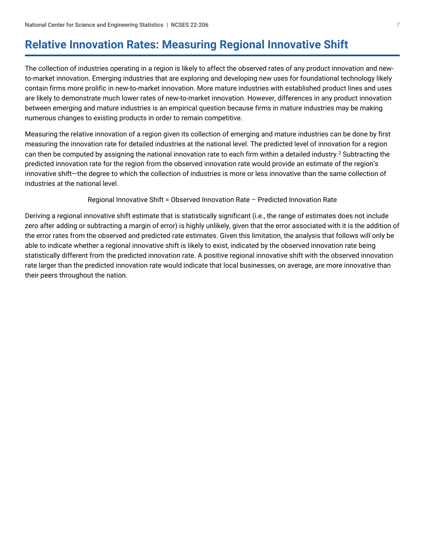# <span id="page-6-0"></span>**Relative Innovation Rates: Measuring Regional Innovative Shift**

The collection of industries operating in a region is likely to affect the observed rates of any product innovation and newto-market innovation. Emerging industries that are exploring and developing new uses for foundational technology likely contain firms more prolific in new-to-market innovation. More mature industries with established product lines and uses are likely to demonstrate much lower rates of new-to-market innovation. However, differences in any product innovation between emerging and mature industries is an empirical question because firms in mature industries may be making numerous changes to existing products in order to remain competitive.

Measuring the relative innovation of a region given its collection of emerging and mature industries can be done by first measuring the innovation rate for detailed industries at the national level. The predicted level of innovation for a region can then be computed by assigning the national innovation rate to each firm within a detailed industry.<sup>[2](#page-25-2)</sup> Subtracting the predicted innovation rate for the region from the observed innovation rate would provide an estimate of the region's innovative shift—the degree to which the collection of industries is more or less innovative than the same collection of industries at the national level.

#### <span id="page-6-1"></span>Regional Innovative Shift = Observed Innovation Rate – Predicted Innovation Rate

Deriving a regional innovative shift estimate that is statistically significant (i.e., the range of estimates does not include zero after adding or subtracting a margin of error) is highly unlikely, given that the error associated with it is the addition of the error rates from the observed and predicted rate estimates. Given this limitation, the analysis that follows will only be able to indicate whether a regional innovative shift is likely to exist, indicated by the observed innovation rate being statistically different from the predicted innovation rate. A positive regional innovative shift with the observed innovation rate larger than the predicted innovation rate would indicate that local businesses, on average, are more innovative than their peers throughout the nation.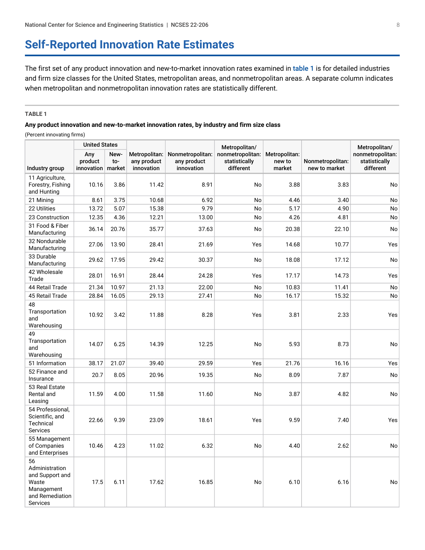### <span id="page-7-0"></span>**Self-Reported Innovation Rate Estimates**

The first set of any product innovation and new-to-market innovation rates examined in [table 1](#page-7-1) is for detailed industries and firm size classes for the United States, metropolitan areas, and nonmetropolitan areas. A separate column indicates when metropolitan and nonmetropolitan innovation rates are statistically different.

#### <span id="page-7-1"></span>**TABLE 1**

#### **Any product innovation and new-to-market innovation rates, by industry and firm size class**

(Percent innovating firms)

|                                                                                               | <b>United States</b>         |                       |                                            |                                               | Metropolitan/                                  |                                   |                                   | Metropolitan/                                  |
|-----------------------------------------------------------------------------------------------|------------------------------|-----------------------|--------------------------------------------|-----------------------------------------------|------------------------------------------------|-----------------------------------|-----------------------------------|------------------------------------------------|
| Industry group                                                                                | Any<br>product<br>innovation | New-<br>to-<br>market | Metropolitan:<br>any product<br>innovation | Nonmetropolitan:<br>any product<br>innovation | nonmetropolitan:<br>statistically<br>different | Metropolitan:<br>new to<br>market | Nonmetropolitan:<br>new to market | nonmetropolitan:<br>statistically<br>different |
| 11 Agriculture,<br>Forestry, Fishing<br>and Hunting                                           | 10.16                        | 3.86                  | 11.42                                      | 8.91                                          | No                                             | 3.88                              | 3.83                              | No                                             |
| 21 Mining                                                                                     | 8.61                         | 3.75                  | 10.68                                      | 6.92                                          | No                                             | 4.46                              | 3.40                              | No                                             |
| 22 Utilities                                                                                  | 13.72                        | 5.07                  | 15.38                                      | 9.79                                          | No                                             | 5.17                              | 4.90                              | No                                             |
| 23 Construction                                                                               | 12.35                        | 4.36                  | 12.21                                      | 13.00                                         | No                                             | 4.26                              | 4.81                              | No                                             |
| 31 Food & Fiber<br>Manufacturing                                                              | 36.14                        | 20.76                 | 35.77                                      | 37.63                                         | No                                             | 20.38                             | 22.10                             | No                                             |
| 32 Nondurable<br>Manufacturing                                                                | 27.06                        | 13.90                 | 28.41                                      | 21.69                                         | Yes                                            | 14.68                             | 10.77                             | Yes                                            |
| 33 Durable<br>Manufacturing                                                                   | 29.62                        | 17.95                 | 29.42                                      | 30.37                                         | No                                             | 18.08                             | 17.12                             | No                                             |
| 42 Wholesale<br>Trade                                                                         | 28.01                        | 16.91                 | 28.44                                      | 24.28                                         | Yes                                            | 17.17                             | 14.73                             | Yes                                            |
| 44 Retail Trade                                                                               | 21.34                        | 10.97                 | 21.13                                      | 22.00                                         | No                                             | 10.83                             | 11.41                             | No                                             |
| 45 Retail Trade                                                                               | 28.84                        | 16.05                 | 29.13                                      | 27.41                                         | No                                             | 16.17                             | 15.32                             | No                                             |
| 48<br>Transportation<br>and<br>Warehousing                                                    | 10.92                        | 3.42                  | 11.88                                      | 8.28                                          | Yes                                            | 3.81                              | 2.33                              | Yes                                            |
| 49<br>Transportation<br>and<br>Warehousing                                                    | 14.07                        | 6.25                  | 14.39                                      | 12.25                                         | No                                             | 5.93                              | 8.73                              | No                                             |
| 51 Information                                                                                | 38.17                        | 21.07                 | 39.40                                      | 29.59                                         | Yes                                            | 21.76                             | 16.16                             | Yes                                            |
| 52 Finance and<br>Insurance                                                                   | 20.7                         | 8.05                  | 20.96                                      | 19.35                                         | No                                             | 8.09                              | 7.87                              | No                                             |
| 53 Real Estate<br>Rental and<br>Leasing                                                       | 11.59                        | 4.00                  | 11.58                                      | 11.60                                         | No                                             | 3.87                              | 4.82                              | No                                             |
| 54 Professional,<br>Scientific, and<br>Technical<br><b>Services</b>                           | 22.66                        | 9.39                  | 23.09                                      | 18.61                                         | Yes                                            | 9.59                              | 7.40                              | Yes                                            |
| 55 Management<br>of Companies<br>and Enterprises                                              | 10.46                        | 4.23                  | 11.02                                      | 6.32                                          | No                                             | 4.40                              | 2.62                              | No                                             |
| 56<br>Administration<br>and Support and<br>Waste<br>Management<br>and Remediation<br>Services | 17.5                         | 6.11                  | 17.62                                      | 16.85                                         | No                                             | 6.10                              | 6.16                              | No                                             |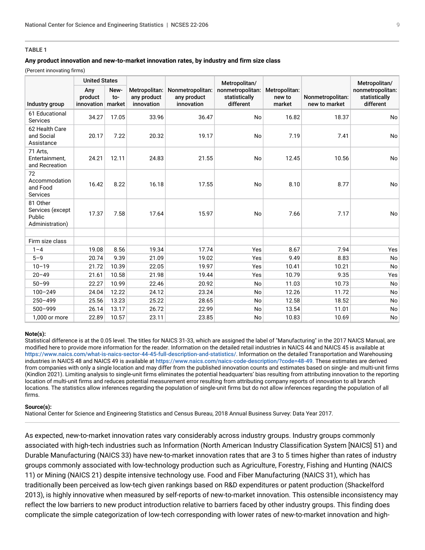#### **TABLE 1**

#### **Any product innovation and new-to-market innovation rates, by industry and firm size class**

(Percent innovating firms)

|                                                           | <b>United States</b>         |                       |                                            |                                               | Metropolitan/                                  |                                   |                                   | Metropolitan/                                  |
|-----------------------------------------------------------|------------------------------|-----------------------|--------------------------------------------|-----------------------------------------------|------------------------------------------------|-----------------------------------|-----------------------------------|------------------------------------------------|
| Industry group                                            | Any<br>product<br>innovation | New-<br>to-<br>market | Metropolitan:<br>any product<br>innovation | Nonmetropolitan:<br>any product<br>innovation | nonmetropolitan:<br>statistically<br>different | Metropolitan:<br>new to<br>market | Nonmetropolitan:<br>new to market | nonmetropolitan:<br>statistically<br>different |
| 61 Educational<br><b>Services</b>                         | 34.27                        | 17.05                 | 33.96                                      | 36.47                                         | No                                             | 16.82                             | 18.37                             | No                                             |
| 62 Health Care<br>and Social<br>Assistance                | 20.17                        | 7.22                  | 20.32                                      | 19.17                                         | No                                             | 7.19                              | 7.41                              | No                                             |
| 71 Arts,<br>Entertainment,<br>and Recreation              | 24.21                        | 12.11                 | 24.83                                      | 21.55                                         | No                                             | 12.45                             | 10.56                             | No                                             |
| 72<br>Accommodation<br>and Food<br>Services               | 16.42                        | 8.22                  | 16.18                                      | 17.55                                         | No                                             | 8.10                              | 8.77                              | No                                             |
| 81 Other<br>Services (except<br>Public<br>Administration) | 17.37                        | 7.58                  | 17.64                                      | 15.97                                         | No                                             | 7.66                              | 7.17                              | No                                             |
| Firm size class                                           |                              |                       |                                            |                                               |                                                |                                   |                                   |                                                |
| $1 - 4$                                                   | 19.08                        | 8.56                  | 19.34                                      | 17.74                                         | Yes                                            | 8.67                              | 7.94                              | Yes                                            |
| $5 - 9$                                                   | 20.74                        | 9.39                  | 21.09                                      | 19.02                                         | Yes                                            | 9.49                              | 8.83                              | No                                             |
| $10 - 19$                                                 | 21.72                        | 10.39                 | 22.05                                      | 19.97                                         | Yes                                            | 10.41                             | 10.21                             | No                                             |
| $20 - 49$                                                 | 21.61                        | 10.58                 | 21.98                                      | 19.44                                         | Yes                                            | 10.79                             | 9.35                              | Yes                                            |
| $50 - 99$                                                 | 22.27                        | 10.99                 | 22.46                                      | 20.92                                         | <b>No</b>                                      | 11.03                             | 10.73                             | <b>No</b>                                      |
| $100 - 249$                                               | 24.04                        | 12.22                 | 24.12                                      | 23.24                                         | <b>No</b>                                      | 12.26                             | 11.72                             | No                                             |
| $250 - 499$                                               | 25.56                        | 13.23                 | 25.22                                      | 28.65                                         | <b>No</b>                                      | 12.58                             | 18.52                             | No                                             |
| $500 - 999$                                               | 26.14                        | 13.17                 | 26.72                                      | 22.99                                         | No                                             | 13.54                             | 11.01                             | No                                             |
| 1,000 or more                                             | 22.89                        | 10.57                 | 23.11                                      | 23.85                                         | No                                             | 10.83                             | 10.69                             | No                                             |

#### **Note(s):**

Statistical difference is at the 0.05 level. The titles for NAICS 31-33, which are assigned the label of "Manufacturing" in the 2017 NAICS Manual, are modified here to provide more information for the reader. Information on the detailed retail industries in NAICS 44 and NAICS 45 is available at <https://www.naics.com/what-is-naics-sector-44-45-full-description-and-statistics/>. Information on the detailed Transportation and Warehousing industries in NAICS 48 and NAICS 49 is available at <https://www.naics.com/naics-code-description/?code=48-49>. These estimates are derived from companies with only a single location and may differ from the published innovation counts and estimates based on single- and multi-unit firms (Kindlon 2021). Limiting analysis to single-unit firms eliminates the potential headquarters' bias resulting from attributing innovation to the reporting location of multi-unit firms and reduces potential measurement error resulting from attributing company reports of innovation to all branch locations. The statistics allow inferences regarding the population of single-unit firms but do not allow inferences regarding the population of all firms.

#### **Source(s):**

National Center for Science and Engineering Statistics and Census Bureau, 2018 Annual Business Survey: Data Year 2017.

As expected, new-to-market innovation rates vary considerably across industry groups. Industry groups commonly associated with high-tech industries such as Information (North American Industry Classification System [NAICS] 51) and Durable Manufacturing (NAICS 33) have new-to-market innovation rates that are 3 to 5 times higher than rates of industry groups commonly associated with low-technology production such as Agriculture, Forestry, Fishing and Hunting (NAICS 11) or Mining (NAICS 21) despite intensive technology use. Food and Fiber Manufacturing (NAICS 31), which has traditionally been perceived as low-tech given rankings based on R&D expenditures or patent production (Shackelford 2013), is highly innovative when measured by self-reports of new-to-market innovation. This ostensible inconsistency may reflect the low barriers to new product introduction relative to barriers faced by other industry groups. This finding does complicate the simple categorization of low-tech corresponding with lower rates of new-to-market innovation and high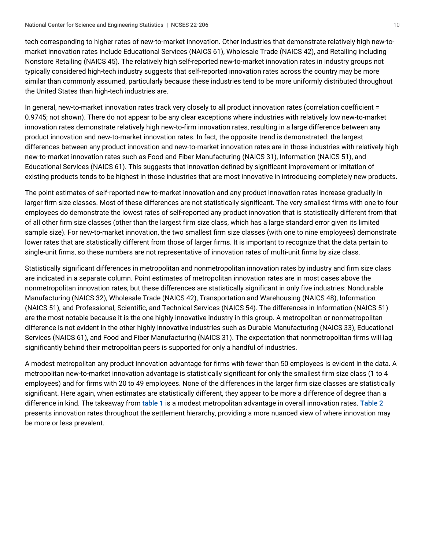tech corresponding to higher rates of new-to-market innovation. Other industries that demonstrate relatively high new-tomarket innovation rates include Educational Services (NAICS 61), Wholesale Trade (NAICS 42), and Retailing including Nonstore Retailing (NAICS 45). The relatively high self-reported new-to-market innovation rates in industry groups not typically considered high-tech industry suggests that self-reported innovation rates across the country may be more similar than commonly assumed, particularly because these industries tend to be more uniformly distributed throughout the United States than high-tech industries are.

In general, new-to-market innovation rates track very closely to all product innovation rates (correlation coefficient = 0.9745; not shown). There do not appear to be any clear exceptions where industries with relatively low new-to-market innovation rates demonstrate relatively high new-to-firm innovation rates, resulting in a large difference between any product innovation and new-to-market innovation rates. In fact, the opposite trend is demonstrated: the largest differences between any product innovation and new-to-market innovation rates are in those industries with relatively high new-to-market innovation rates such as Food and Fiber Manufacturing (NAICS 31), Information (NAICS 51), and Educational Services (NAICS 61). This suggests that innovation defined by significant improvement or imitation of existing products tends to be highest in those industries that are most innovative in introducing completely new products.

The point estimates of self-reported new-to-market innovation and any product innovation rates increase gradually in larger firm size classes. Most of these differences are not statistically significant. The very smallest firms with one to four employees do demonstrate the lowest rates of self-reported any product innovation that is statistically different from that of all other firm size classes (other than the largest firm size class, which has a large standard error given its limited sample size). For new-to-market innovation, the two smallest firm size classes (with one to nine employees) demonstrate lower rates that are statistically different from those of larger firms. It is important to recognize that the data pertain to single-unit firms, so these numbers are not representative of innovation rates of multi-unit firms by size class.

Statistically significant differences in metropolitan and nonmetropolitan innovation rates by industry and firm size class are indicated in a separate column. Point estimates of metropolitan innovation rates are in most cases above the nonmetropolitan innovation rates, but these differences are statistically significant in only five industries: Nondurable Manufacturing (NAICS 32), Wholesale Trade (NAICS 42), Transportation and Warehousing (NAICS 48), Information (NAICS 51), and Professional, Scientific, and Technical Services (NAICS 54). The differences in Information (NAICS 51) are the most notable because it is the one highly innovative industry in this group. A metropolitan or nonmetropolitan difference is not evident in the other highly innovative industries such as Durable Manufacturing (NAICS 33), Educational Services (NAICS 61), and Food and Fiber Manufacturing (NAICS 31). The expectation that nonmetropolitan firms will lag significantly behind their metropolitan peers is supported for only a handful of industries.

A modest metropolitan any product innovation advantage for firms with fewer than 50 employees is evident in the data. A metropolitan new-to-market innovation advantage is statistically significant for only the smallest firm size class (1 to 4 employees) and for firms with 20 to 49 employees. None of the differences in the larger firm size classes are statistically significant. Here again, when estimates are statistically different, they appear to be more a difference of degree than a difference in kind. The takeaway from [table 1](#page-7-1) is a modest metropolitan advantage in overall innovation rates. [Table 2](#page-10-0) presents innovation rates throughout the settlement hierarchy, providing a more nuanced view of where innovation may be more or less prevalent.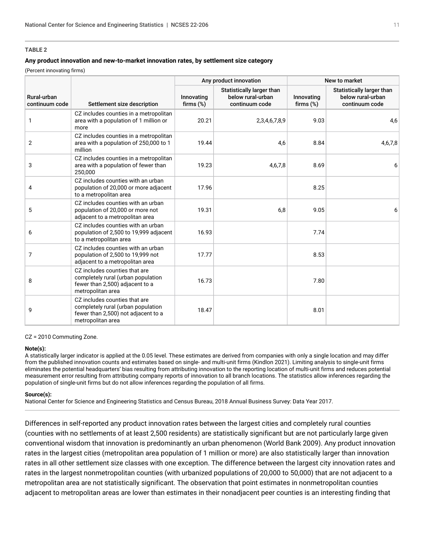#### <span id="page-10-0"></span>**TABLE 2**

#### **Any product innovation and new-to-market innovation rates, by settlement size category**

(Percent innovating firms)

|                               |                                                                                                                                 |                            | Any product innovation                                           | New to market              |                                                                  |  |
|-------------------------------|---------------------------------------------------------------------------------------------------------------------------------|----------------------------|------------------------------------------------------------------|----------------------------|------------------------------------------------------------------|--|
| Rural-urban<br>continuum code | Settlement size description                                                                                                     | Innovating<br>firms $(\%)$ | Statistically larger than<br>below rural-urban<br>continuum code | Innovating<br>firms $(\%)$ | Statistically larger than<br>below rural-urban<br>continuum code |  |
| $\mathbf{1}$                  | CZ includes counties in a metropolitan<br>area with a population of 1 million or<br>more                                        | 20.21                      | 2,3,4,6,7,8,9                                                    | 9.03                       | 4,6                                                              |  |
| $\overline{2}$                | CZ includes counties in a metropolitan<br>area with a population of 250,000 to 1<br>million                                     | 19.44                      | 4,6                                                              | 8.84                       | 4,6,7,8                                                          |  |
| 3                             | CZ includes counties in a metropolitan<br>area with a population of fewer than<br>250,000                                       | 19.23                      | 4,6,7,8                                                          | 8.69                       | 6                                                                |  |
| 4                             | CZ includes counties with an urban<br>population of 20,000 or more adjacent<br>to a metropolitan area                           | 17.96                      |                                                                  | 8.25                       |                                                                  |  |
| 5                             | CZ includes counties with an urban<br>population of 20,000 or more not<br>adjacent to a metropolitan area                       | 19.31                      | 6,8                                                              | 9.05                       | 6                                                                |  |
| 6                             | CZ includes counties with an urban<br>population of 2,500 to 19,999 adjacent<br>to a metropolitan area                          | 16.93                      |                                                                  | 7.74                       |                                                                  |  |
| 7                             | CZ includes counties with an urban<br>population of 2,500 to 19,999 not<br>adjacent to a metropolitan area                      | 17.77                      |                                                                  | 8.53                       |                                                                  |  |
| 8                             | CZ includes counties that are<br>completely rural (urban population<br>fewer than 2,500) adjacent to a<br>metropolitan area     | 16.73                      |                                                                  | 7.80                       |                                                                  |  |
| 9                             | CZ includes counties that are<br>completely rural (urban population<br>fewer than 2,500) not adjacent to a<br>metropolitan area | 18.47                      |                                                                  | 8.01                       |                                                                  |  |

CZ = 2010 Commuting Zone.

#### **Note(s):**

A statistically larger indicator is applied at the 0.05 level. These estimates are derived from companies with only a single location and may differ from the published innovation counts and estimates based on single- and multi-unit firms (Kindlon 2021). Limiting analysis to single-unit firms eliminates the potential headquarters' bias resulting from attributing innovation to the reporting location of multi-unit firms and reduces potential measurement error resulting from attributing company reports of innovation to all branch locations. The statistics allow inferences regarding the population of single-unit firms but do not allow inferences regarding the population of all firms.

#### **Source(s):**

National Center for Science and Engineering Statistics and Census Bureau, 2018 Annual Business Survey: Data Year 2017.

Differences in self-reported any product innovation rates between the largest cities and completely rural counties (counties with no settlements of at least 2,500 residents) are statistically significant but are not particularly large given conventional wisdom that innovation is predominantly an urban phenomenon (World Bank 2009). Any product innovation rates in the largest cities (metropolitan area population of 1 million or more) are also statistically larger than innovation rates in all other settlement size classes with one exception. The difference between the largest city innovation rates and rates in the largest nonmetropolitan counties (with urbanized populations of 20,000 to 50,000) that are not adjacent to a metropolitan area are not statistically significant. The observation that point estimates in nonmetropolitan counties adjacent to metropolitan areas are lower than estimates in their nonadjacent peer counties is an interesting finding that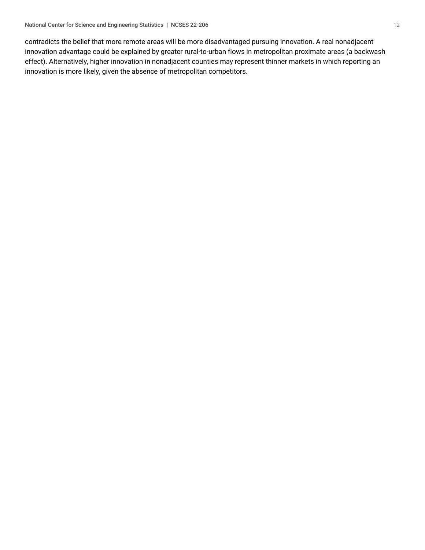contradicts the belief that more remote areas will be more disadvantaged pursuing innovation. A real nonadjacent innovation advantage could be explained by greater rural-to-urban flows in metropolitan proximate areas (a backwash effect). Alternatively, higher innovation in nonadjacent counties may represent thinner markets in which reporting an innovation is more likely, given the absence of metropolitan competitors.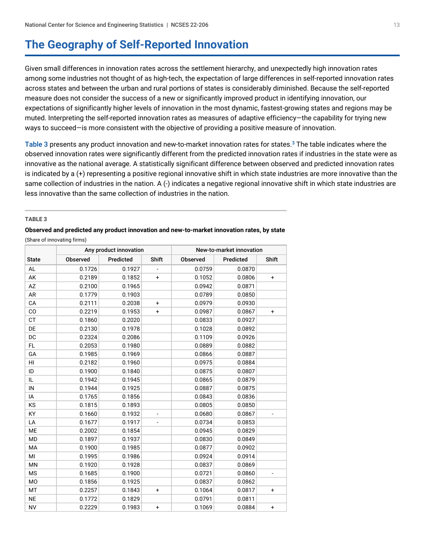### <span id="page-12-0"></span>**The Geography of Self-Reported Innovation**

Given small differences in innovation rates across the settlement hierarchy, and unexpectedly high innovation rates among some industries not thought of as high-tech, the expectation of large differences in self-reported innovation rates across states and between the urban and rural portions of states is considerably diminished. Because the self-reported measure does not consider the success of a new or significantly improved product in identifying innovation, our expectations of significantly higher levels of innovation in the most dynamic, fastest-growing states and regions may be muted. Interpreting the self-reported innovation rates as measures of adaptive efficiency—the capability for trying new ways to succeed—is more consistent with the objective of providing a positive measure of innovation.

<span id="page-12-2"></span>[Table 3](#page-12-1) presents any product innovation and new-to-market innovation rates for states.<sup>[3](#page-25-3)</sup> The table indicates where the observed innovation rates were significantly different from the predicted innovation rates if industries in the state were as innovative as the national average. A statistically significant difference between observed and predicted innovation rates is indicated by a (+) representing a positive regional innovative shift in which state industries are more innovative than the same collection of industries in the nation. A (-) indicates a negative regional innovative shift in which state industries are less innovative than the same collection of industries in the nation.

#### <span id="page-12-1"></span>**TABLE 3**

### **Observed and predicted any product innovation and new-to-market innovation rates, by state**

(Share of innovating firms)

|              | Any product innovation |           |                                  | New-to-market innovation |           |                                  |  |
|--------------|------------------------|-----------|----------------------------------|--------------------------|-----------|----------------------------------|--|
| <b>State</b> | Observed               | Predicted | Shift                            | Observed                 | Predicted | Shift                            |  |
| AL           | 0.1726                 | 0.1927    |                                  | 0.0759                   | 0.0870    |                                  |  |
| AK           | 0.2189                 | 0.1852    | $\ddot{}$                        | 0.1052                   | 0.0806    | $\ddot{}$                        |  |
| AZ           | 0.2100                 | 0.1965    |                                  | 0.0942                   | 0.0871    |                                  |  |
| AR           | 0.1779                 | 0.1903    |                                  | 0.0789                   | 0.0850    |                                  |  |
| CA           | 0.2111                 | 0.2038    | +                                | 0.0979                   | 0.0930    |                                  |  |
| CO           | 0.2219                 | 0.1953    | $\begin{array}{c} + \end{array}$ | 0.0987                   | 0.0867    | $\begin{array}{c} + \end{array}$ |  |
| <b>CT</b>    | 0.1860                 | 0.2020    |                                  | 0.0833                   | 0.0927    |                                  |  |
| DE           | 0.2130                 | 0.1978    |                                  | 0.1028                   | 0.0892    |                                  |  |
| DC           | 0.2324                 | 0.2086    |                                  | 0.1109                   | 0.0926    |                                  |  |
| FL           | 0.2053                 | 0.1980    |                                  | 0.0889                   | 0.0882    |                                  |  |
| GA           | 0.1985                 | 0.1969    |                                  | 0.0866                   | 0.0887    |                                  |  |
| HI           | 0.2182                 | 0.1960    |                                  | 0.0975                   | 0.0884    |                                  |  |
| ID           | 0.1900                 | 0.1840    |                                  | 0.0875                   | 0.0807    |                                  |  |
| IL           | 0.1942                 | 0.1945    |                                  | 0.0865                   | 0.0879    |                                  |  |
| IN           | 0.1944                 | 0.1925    |                                  | 0.0887                   | 0.0875    |                                  |  |
| IA           | 0.1765                 | 0.1856    |                                  | 0.0843                   | 0.0836    |                                  |  |
| KS           | 0.1815                 | 0.1893    |                                  | 0.0805                   | 0.0850    |                                  |  |
| KY           | 0.1660                 | 0.1932    |                                  | 0.0680                   | 0.0867    |                                  |  |
| LA           | 0.1677                 | 0.1917    | $\blacksquare$                   | 0.0734                   | 0.0853    |                                  |  |
| <b>ME</b>    | 0.2002                 | 0.1854    |                                  | 0.0945                   | 0.0829    |                                  |  |
| <b>MD</b>    | 0.1897                 | 0.1937    |                                  | 0.0830                   | 0.0849    |                                  |  |
| MA           | 0.1900                 | 0.1985    |                                  | 0.0877                   | 0.0902    |                                  |  |
| MI           | 0.1995                 | 0.1986    |                                  | 0.0924                   | 0.0914    |                                  |  |
| MN           | 0.1920                 | 0.1928    |                                  | 0.0837                   | 0.0869    |                                  |  |
| <b>MS</b>    | 0.1685                 | 0.1900    |                                  | 0.0721                   | 0.0860    |                                  |  |
| <b>MO</b>    | 0.1856                 | 0.1925    |                                  | 0.0837                   | 0.0862    |                                  |  |
| MT           | 0.2257                 | 0.1843    | $\ddot{}$                        | 0.1064                   | 0.0817    | $\begin{array}{c} + \end{array}$ |  |
| <b>NE</b>    | 0.1772                 | 0.1829    |                                  | 0.0791                   | 0.0811    |                                  |  |
| <b>NV</b>    | 0.2229                 | 0.1983    | $\ddot{}$                        | 0.1069                   | 0.0884    | $\begin{array}{c} + \end{array}$ |  |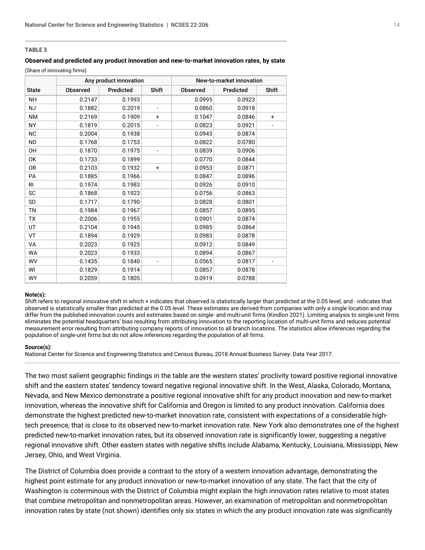#### **TABLE 3**

#### **Observed and predicted any product innovation and new-to-market innovation rates, by state**

(Share of innovating firms)

|                | Any product innovation |           |                              | New-to-market innovation |           |           |  |
|----------------|------------------------|-----------|------------------------------|--------------------------|-----------|-----------|--|
| <b>State</b>   | Observed               | Predicted | Shift                        | Observed                 | Predicted | Shift     |  |
| <b>NH</b>      | 0.2147                 | 0.1993    |                              | 0.0995                   | 0.0923    |           |  |
| <b>NJ</b>      | 0.1882                 | 0.2019    |                              | 0.0860                   | 0.0918    |           |  |
| <b>NM</b>      | 0.2169                 | 0.1909    | $\ddot{}$                    | 0.1047                   | 0.0846    | $\ddot{}$ |  |
| <b>NY</b>      | 0.1819                 | 0.2015    |                              | 0.0823                   | 0.0921    |           |  |
| <b>NC</b>      | 0.2004                 | 0.1938    |                              | 0.0943                   | 0.0874    |           |  |
| ND.            | 0.1768                 | 0.1753    |                              | 0.0822                   | 0.0780    |           |  |
| 0H             | 0.1870                 | 0.1975    |                              | 0.0839                   | 0.0906    |           |  |
| 0K             | 0.1733                 | 0.1899    |                              | 0.0770                   | 0.0844    |           |  |
| 0R             | 0.2103                 | 0.1932    | $\ddot{}$                    | 0.0953                   | 0.0871    |           |  |
| <b>PA</b>      | 0.1885                 | 0.1966    |                              | 0.0847                   | 0.0896    |           |  |
| R <sub>l</sub> | 0.1974                 | 0.1983    |                              | 0.0926                   | 0.0910    |           |  |
| <b>SC</b>      | 0.1868                 | 0.1923    |                              | 0.0756                   | 0.0863    |           |  |
| SD             | 0.1717                 | 0.1790    |                              | 0.0828                   | 0.0801    |           |  |
| <b>TN</b>      | 0.1984                 | 0.1967    |                              | 0.0857                   | 0.0895    |           |  |
| <b>TX</b>      | 0.2006                 | 0.1955    |                              | 0.0901                   | 0.0874    |           |  |
| UT             | 0.2104                 | 0.1945    |                              | 0.0985                   | 0.0864    |           |  |
| VT             | 0.1894                 | 0.1929    |                              | 0.0983                   | 0.0878    |           |  |
| VA             | 0.2023                 | 0.1925    |                              | 0.0912                   | 0.0849    |           |  |
| <b>WA</b>      | 0.2023                 | 0.1933    |                              | 0.0894                   | 0.0867    |           |  |
| <b>WV</b>      | 0.1435                 | 0.1840    | $\qquad \qquad \blacksquare$ | 0.0565                   | 0.0817    |           |  |
| WI             | 0.1829                 | 0.1914    |                              | 0.0857                   | 0.0878    |           |  |
| <b>WY</b>      | 0.2059                 | 0.1805    |                              | 0.0919                   | 0.0788    |           |  |

#### **Note(s):**

Shift refers to regional innovative shift in which + indicates that observed is statistically larger than predicted at the 0.05 level, and - indicates that observed is statistically smaller than predicted at the 0.05 level. These estimates are derived from companies with only a single location and may differ from the published innovation counts and estimates based on single- and multi-unit firms (Kindlon 2021). Limiting analysis to single-unit firms eliminates the potential headquarters' bias resulting from attributing innovation to the reporting location of multi-unit firms and reduces potential measurement error resulting from attributing company reports of innovation to all branch locations. The statistics allow inferences regarding the population of single-unit firms but do not allow inferences regarding the population of all firms.

#### **Source(s):**

National Center for Science and Engineering Statistics and Census Bureau, 2018 Annual Business Survey: Data Year 2017.

The two most salient geographic findings in the table are the western states' proclivity toward positive regional innovative shift and the eastern states' tendency toward negative regional innovative shift. In the West, Alaska, Colorado, Montana, Nevada, and New Mexico demonstrate a positive regional innovative shift for any product innovation and new-to-market innovation, whereas the innovative shift for California and Oregon is limited to any product innovation. California does demonstrate the highest predicted new-to-market innovation rate, consistent with expectations of a considerable hightech presence, that is close to its observed new-to-market innovation rate. New York also demonstrates one of the highest predicted new-to-market innovation rates, but its observed innovation rate is significantly lower, suggesting a negative regional innovative shift. Other eastern states with negative shifts include Alabama, Kentucky, Louisiana, Mississippi, New Jersey, Ohio, and West Virginia.

The District of Columbia does provide a contrast to the story of a western innovation advantage, demonstrating the highest point estimate for any product innovation or new-to-market innovation of any state. The fact that the city of Washington is coterminous with the District of Columbia might explain the high innovation rates relative to most states that combine metropolitan and nonmetropolitan areas. However, an examination of metropolitan and nonmetropolitan innovation rates by state (not shown) identifies only six states in which the any product innovation rate was significantly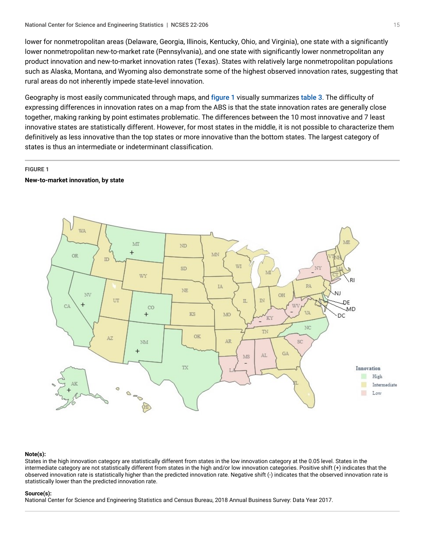lower for nonmetropolitan areas (Delaware, Georgia, Illinois, Kentucky, Ohio, and Virginia), one state with a significantly lower nonmetropolitan new-to-market rate (Pennsylvania), and one state with significantly lower nonmetropolitan any product innovation and new-to-market innovation rates (Texas). States with relatively large nonmetropolitan populations such as Alaska, Montana, and Wyoming also demonstrate some of the highest observed innovation rates, suggesting that rural areas do not inherently impede state-level innovation.

Geography is most easily communicated through maps, and [figure 1](#page-14-0) visually summarizes [table 3](#page-12-1). The difficulty of expressing differences in innovation rates on a map from the ABS is that the state innovation rates are generally close together, making ranking by point estimates problematic. The differences between the 10 most innovative and 7 least innovative states are statistically different. However, for most states in the middle, it is not possible to characterize them definitively as less innovative than the top states or more innovative than the bottom states. The largest category of states is thus an intermediate or indeterminant classification.

#### <span id="page-14-0"></span>**FIGURE 1**

#### **New-to-market innovation, by state**



#### **Note(s):**

States in the high innovation category are statistically different from states in the low innovation category at the 0.05 level. States in the intermediate category are not statistically different from states in the high and/or low innovation categories. Positive shift (+) indicates that the observed innovation rate is statistically higher than the predicted innovation rate. Negative shift (-) indicates that the observed innovation rate is statistically lower than the predicted innovation rate.

#### **Source(s):**

National Center for Science and Engineering Statistics and Census Bureau, 2018 Annual Business Survey: Data Year 2017.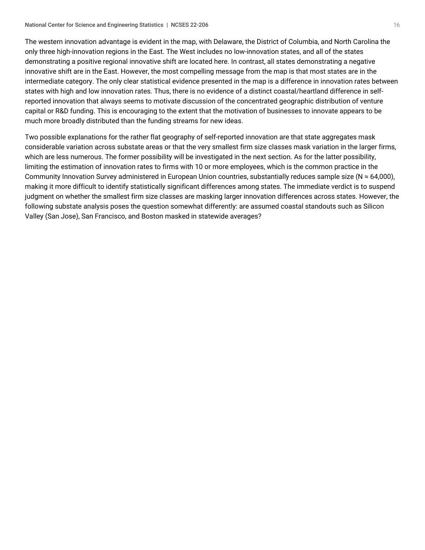The western innovation advantage is evident in the map, with Delaware, the District of Columbia, and North Carolina the only three high-innovation regions in the East. The West includes no low-innovation states, and all of the states demonstrating a positive regional innovative shift are located here. In contrast, all states demonstrating a negative innovative shift are in the East. However, the most compelling message from the map is that most states are in the intermediate category. The only clear statistical evidence presented in the map is a difference in innovation rates between states with high and low innovation rates. Thus, there is no evidence of a distinct coastal/heartland difference in selfreported innovation that always seems to motivate discussion of the concentrated geographic distribution of venture capital or R&D funding. This is encouraging to the extent that the motivation of businesses to innovate appears to be much more broadly distributed than the funding streams for new ideas.

Two possible explanations for the rather flat geography of self-reported innovation are that state aggregates mask considerable variation across substate areas or that the very smallest firm size classes mask variation in the larger firms, which are less numerous. The former possibility will be investigated in the next section. As for the latter possibility, limiting the estimation of innovation rates to firms with 10 or more employees, which is the common practice in the Community Innovation Survey administered in European Union countries, substantially reduces sample size ( $N \approx 64,000$ ), making it more difficult to identify statistically significant differences among states. The immediate verdict is to suspend judgment on whether the smallest firm size classes are masking larger innovation differences across states. However, the following substate analysis poses the question somewhat differently: are assumed coastal standouts such as Silicon Valley (San Jose), San Francisco, and Boston masked in statewide averages?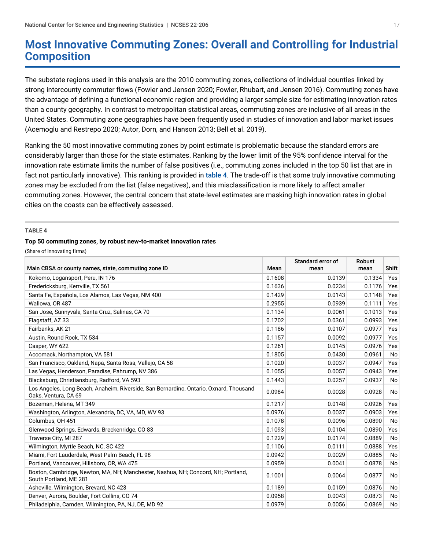### <span id="page-16-0"></span>**Most Innovative Commuting Zones: Overall and Controlling for Industrial Composition**

The substate regions used in this analysis are the 2010 commuting zones, collections of individual counties linked by strong intercounty commuter flows (Fowler and Jenson 2020; Fowler, Rhubart, and Jensen 2016). Commuting zones have the advantage of defining a functional economic region and providing a larger sample size for estimating innovation rates than a county geography. In contrast to metropolitan statistical areas, commuting zones are inclusive of all areas in the United States. Commuting zone geographies have been frequently used in studies of innovation and labor market issues (Acemoglu and Restrepo 2020; Autor, Dorn, and Hanson 2013; Bell et al. 2019).

Ranking the 50 most innovative commuting zones by point estimate is problematic because the standard errors are considerably larger than those for the state estimates. Ranking by the lower limit of the 95% confidence interval for the innovation rate estimate limits the number of false positives (i.e., commuting zones included in the top 50 list that are in fact not particularly innovative). This ranking is provided in [table 4](#page-16-1). The trade-off is that some truly innovative commuting zones may be excluded from the list (false negatives), and this misclassification is more likely to affect smaller commuting zones. However, the central concern that state-level estimates are masking high innovation rates in global cities on the coasts can be effectively assessed.

#### <span id="page-16-1"></span>**TABLE 4**

#### **Top 50 commuting zones, by robust new-to-market innovation rates**

(Share of innovating firms)

|                                                                                                                |        | Standard error of | <b>Robust</b> |           |
|----------------------------------------------------------------------------------------------------------------|--------|-------------------|---------------|-----------|
| Main CBSA or county names, state, commuting zone ID                                                            | Mean   | mean              | mean          | Shift     |
| Kokomo, Logansport, Peru, IN 176                                                                               | 0.1608 | 0.0139            | 0.1334        | Yes       |
| Fredericksburg, Kerrville, TX 561                                                                              | 0.1636 | 0.0234            | 0.1176        | Yes       |
| Santa Fe, Española, Los Alamos, Las Vegas, NM 400                                                              | 0.1429 | 0.0143            | 0.1148        | Yes       |
| Wallowa, OR 487                                                                                                | 0.2955 | 0.0939            | 0.1111        | Yes       |
| San Jose, Sunnyvale, Santa Cruz, Salinas, CA 70                                                                | 0.1134 | 0.0061            | 0.1013        | Yes       |
| Flagstaff, AZ 33                                                                                               | 0.1702 | 0.0361            | 0.0993        | Yes       |
| Fairbanks, AK 21                                                                                               | 0.1186 | 0.0107            | 0.0977        | Yes       |
| Austin, Round Rock, TX 534                                                                                     | 0.1157 | 0.0092            | 0.0977        | Yes       |
| Casper, WY 622                                                                                                 | 0.1261 | 0.0145            | 0.0976        | Yes       |
| Accomack, Northampton, VA 581                                                                                  | 0.1805 | 0.0430            | 0.0961        | No        |
| San Francisco, Oakland, Napa, Santa Rosa, Vallejo, CA 58                                                       | 0.1020 | 0.0037            | 0.0947        | Yes       |
| Las Vegas, Henderson, Paradise, Pahrump, NV 386                                                                | 0.1055 | 0.0057            | 0.0943        | Yes       |
| Blacksburg, Christiansburg, Radford, VA 593                                                                    | 0.1443 | 0.0257            | 0.0937        | No        |
| Los Angeles, Long Beach, Anaheim, Riverside, San Bernardino, Ontario, Oxnard, Thousand<br>Oaks, Ventura, CA 69 | 0.0984 | 0.0028            | 0.0928        | No        |
| Bozeman, Helena, MT 349                                                                                        | 0.1217 | 0.0148            | 0.0926        | Yes       |
| Washington, Arlington, Alexandria, DC, VA, MD, WV 93                                                           | 0.0976 | 0.0037            | 0.0903        | Yes       |
| Columbus, OH 451                                                                                               | 0.1078 | 0.0096            | 0.0890        | No        |
| Glenwood Springs, Edwards, Breckenridge, CO 83                                                                 | 0.1093 | 0.0104            | 0.0890        | Yes       |
| Traverse City, MI 287                                                                                          | 0.1229 | 0.0174            | 0.0889        | <b>No</b> |
| Wilmington, Myrtle Beach, NC, SC 422                                                                           | 0.1106 | 0.0111            | 0.0888        | Yes       |
| Miami, Fort Lauderdale, West Palm Beach, FL 98                                                                 | 0.0942 | 0.0029            | 0.0885        | No        |
| Portland, Vancouver, Hillsboro, OR, WA 475                                                                     | 0.0959 | 0.0041            | 0.0878        | No        |
| Boston, Cambridge, Newton, MA, NH; Manchester, Nashua, NH; Concord, NH; Portland,<br>South Portland, ME 281    | 0.1001 | 0.0064            | 0.0877        | No        |
| Asheville, Wilmington, Brevard, NC 423                                                                         | 0.1189 | 0.0159            | 0.0876        | No        |
| Denver, Aurora, Boulder, Fort Collins, CO 74                                                                   | 0.0958 | 0.0043            | 0.0873        | No        |
| Philadelphia, Camden, Wilmington, PA, NJ, DE, MD 92                                                            | 0.0979 | 0.0056            | 0.0869        | No        |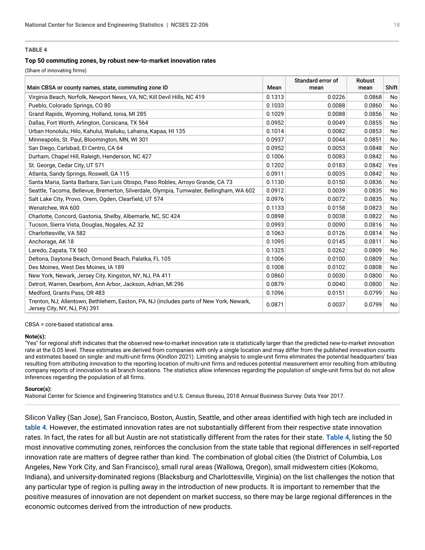#### **TABLE 4**

#### **Top 50 commuting zones, by robust new-to-market innovation rates**

(Share of innovating firms)

|                                                                                                                        |        | Standard error of | Robust |                |
|------------------------------------------------------------------------------------------------------------------------|--------|-------------------|--------|----------------|
| Main CBSA or county names, state, commuting zone ID                                                                    | Mean   | mean              | mean   | <b>Shift</b>   |
| Virginia Beach, Norfolk, Newport News, VA, NC; Kill Devil Hills, NC 419                                                | 0.1313 | 0.0226            | 0.0868 | N <sub>o</sub> |
| Pueblo, Colorado Springs, CO 80                                                                                        | 0.1033 | 0.0088            | 0.0860 | N <sub>o</sub> |
| Grand Rapids, Wyoming, Holland, Ionia, MI 285                                                                          | 0.1029 | 0.0088            | 0.0856 | N <sub>o</sub> |
| Dallas, Fort Worth, Arlington, Corsicana, TX 564                                                                       | 0.0952 | 0.0049            | 0.0855 | No             |
| Urban Honolulu, Hilo, Kahului, Wailuku, Lahaina, Kapaa, HI 135                                                         | 0.1014 | 0.0082            | 0.0853 | N <sub>o</sub> |
| Minneapolis, St. Paul, Bloomington, MN, WI 301                                                                         | 0.0937 | 0.0044            | 0.0851 | N <sub>o</sub> |
| San Diego, Carlsbad, El Centro, CA 64                                                                                  | 0.0952 | 0.0053            | 0.0848 | No             |
| Durham, Chapel Hill, Raleigh, Henderson, NC 427                                                                        | 0.1006 | 0.0083            | 0.0842 | N <sub>o</sub> |
| St. George, Cedar City, UT 571                                                                                         | 0.1202 | 0.0183            | 0.0842 | Yes            |
| Atlanta, Sandy Springs, Roswell, GA 115                                                                                | 0.0911 | 0.0035            | 0.0842 | N <sub>o</sub> |
| Santa Maria, Santa Barbara, San Luis Obispo, Paso Robles, Arroyo Grande, CA 73                                         | 0.1130 | 0.0150            | 0.0836 | N <sub>o</sub> |
| Seattle, Tacoma, Bellevue, Bremerton, Silverdale, Olympia, Tumwater, Bellingham, WA 602                                | 0.0912 | 0.0039            | 0.0835 | No             |
| Salt Lake City, Provo, Orem, Ogden, Clearfield, UT 574                                                                 | 0.0976 | 0.0072            | 0.0835 | N <sub>o</sub> |
| Wenatchee, WA 600                                                                                                      | 0.1133 | 0.0158            | 0.0823 | No             |
| Charlotte, Concord, Gastonia, Shelby, Albemarle, NC, SC 424                                                            | 0.0898 | 0.0038            | 0.0822 | N <sub>o</sub> |
| Tucson, Sierra Vista, Douglas, Nogales, AZ 32                                                                          | 0.0993 | 0.0090            | 0.0816 | N <sub>o</sub> |
| Charlottesville, VA 582                                                                                                | 0.1063 | 0.0126            | 0.0814 | N <sub>o</sub> |
| Anchorage, AK 18                                                                                                       | 0.1095 | 0.0145            | 0.0811 | N <sub>o</sub> |
| Laredo, Zapata, TX 560                                                                                                 | 0.1325 | 0.0262            | 0.0809 | N <sub>o</sub> |
| Deltona, Daytona Beach, Ormond Beach, Palatka, FL 105                                                                  | 0.1006 | 0.0100            | 0.0809 | N <sub>o</sub> |
| Des Moines, West Des Moines, IA 189                                                                                    | 0.1008 | 0.0102            | 0.0808 | No             |
| New York, Newark, Jersey City, Kingston, NY, NJ, PA 411                                                                | 0.0860 | 0.0030            | 0.0800 | N <sub>o</sub> |
| Detroit, Warren, Dearborn, Ann Arbor, Jackson, Adrian, MI 296                                                          | 0.0879 | 0.0040            | 0.0800 | N <sub>o</sub> |
| Medford, Grants Pass, OR 483                                                                                           | 0.1096 | 0.0151            | 0.0799 | No             |
| Trenton, NJ; Allentown, Bethlehem, Easton, PA, NJ (includes parts of New York, Newark,<br>Jersey City, NY, NJ, PA) 391 | 0.0871 | 0.0037            | 0.0799 | No             |

CBSA = core-based statistical area.

#### **Note(s):**

"Yes" for regional shift indicates that the observed new-to-market innovation rate is statistically larger than the predicted new-to-market innovation rate at the 0.05 level. These estimates are derived from companies with only a single location and may differ from the published innovation counts and estimates based on single- and multi-unit firms (Kindlon 2021). Limiting analysis to single-unit firms eliminates the potential headquarters' bias resulting from attributing innovation to the reporting location of multi-unit firms and reduces potential measurement error resulting from attributing company reports of innovation to all branch locations. The statistics allow inferences regarding the population of single-unit firms but do not allow inferences regarding the population of all firms.

#### **Source(s):**

National Center for Science and Engineering Statistics and U.S. Census Bureau, 2018 Annual Business Survey: Data Year 2017.

Silicon Valley (San Jose), San Francisco, Boston, Austin, Seattle, and other areas identified with high tech are included in [table 4](#page-16-1). However, the estimated innovation rates are not substantially different from their respective state innovation rates. In fact, the rates for all but Austin are not statistically different from the rates for their state. [Table 4](#page-16-1), listing the 50 most innovative commuting zones, reinforces the conclusion from the state table that regional differences in self-reported innovation rate are matters of degree rather than kind. The combination of global cities (the District of Columbia, Los Angeles, New York City, and San Francisco), small rural areas (Wallowa, Oregon), small midwestern cities (Kokomo, Indiana), and university-dominated regions (Blacksburg and Charlottesville, Virginia) on the list challenges the notion that any particular type of region is pulling away in the introduction of new products. It is important to remember that the positive measures of innovation are not dependent on market success, so there may be large regional differences in the economic outcomes derived from the introduction of new products.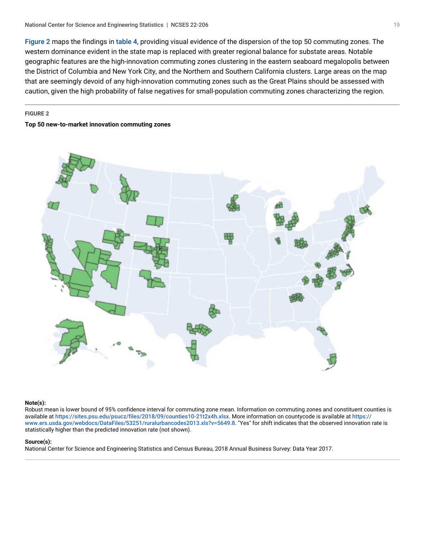[Figure 2](#page-18-0) maps the findings in [table 4](#page-16-1), providing visual evidence of the dispersion of the top 50 commuting zones. The western dominance evident in the state map is replaced with greater regional balance for substate areas. Notable geographic features are the high-innovation commuting zones clustering in the eastern seaboard megalopolis between the District of Columbia and New York City, and the Northern and Southern California clusters. Large areas on the map that are seemingly devoid of any high-innovation commuting zones such as the Great Plains should be assessed with caution, given the high probability of false negatives for small-population commuting zones characterizing the region.

#### <span id="page-18-0"></span>**FIGURE 2**

#### **Top 50 new-to-market innovation commuting zones**



#### **Note(s):**

Robust mean is lower bound of 95% confidence interval for commuting zone mean. Information on commuting zones and constituent counties is available at <https://sites.psu.edu/psucz/files/2018/09/counties10-21t2x4h.xlsx>. More information on countycode is available at [https://](https://www.ers.usda.gov/webdocs/DataFiles/53251/ruralurbancodes2013.xls?v=5649.8) [www.ers.usda.gov/webdocs/DataFiles/53251/ruralurbancodes2013.xls?v=5649.8](https://www.ers.usda.gov/webdocs/DataFiles/53251/ruralurbancodes2013.xls?v=5649.8). "Yes" for shift indicates that the observed innovation rate is statistically higher than the predicted innovation rate (not shown).

#### **Source(s):**

National Center for Science and Engineering Statistics and Census Bureau, 2018 Annual Business Survey: Data Year 2017.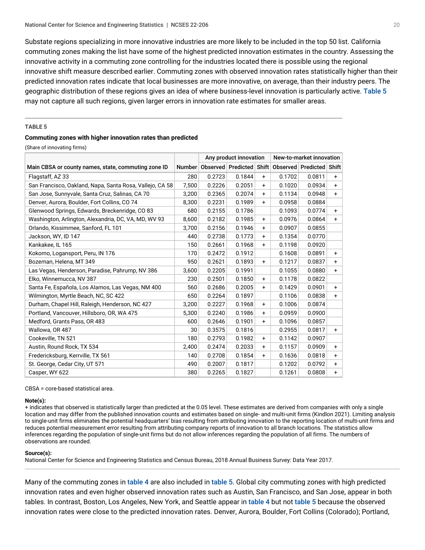Substate regions specializing in more innovative industries are more likely to be included in the top 50 list. California commuting zones making the list have some of the highest predicted innovation estimates in the country. Assessing the innovative activity in a commuting zone controlling for the industries located there is possible using the regional innovative shift measure described earlier. Commuting zones with observed innovation rates statistically higher than their predicted innovation rates indicate that local businesses are more innovative, on average, than their industry peers. The geographic distribution of these regions gives an idea of where business-level innovation is particularly active. [Table 5](#page-19-0) may not capture all such regions, given larger errors in innovation rate estimates for smaller areas.

#### <span id="page-19-0"></span>**TABLE 5**

#### **Commuting zones with higher innovation rates than predicted**

(Share of innovating firms)

|                                                          |       | Any product innovation |                               |           | New-to-market innovation |                          |           |  |
|----------------------------------------------------------|-------|------------------------|-------------------------------|-----------|--------------------------|--------------------------|-----------|--|
| Main CBSA or county names, state, commuting zone ID      |       |                        | Number   Observed   Predicted | Shift     |                          | Observed Predicted Shift |           |  |
| Flagstaff, AZ 33                                         | 280   | 0.2723                 | 0.1844                        | $\ddot{}$ | 0.1702                   | 0.0811                   | $\ddot{}$ |  |
| San Francisco, Oakland, Napa, Santa Rosa, Vallejo, CA 58 | 7,500 | 0.2226                 | 0.2051                        | $\ddot{}$ | 0.1020                   | 0.0934                   | $\ddot{}$ |  |
| San Jose, Sunnyvale, Santa Cruz, Salinas, CA 70          | 3,200 | 0.2365                 | 0.2074                        | +         | 0.1134                   | 0.0948                   | $\ddot{}$ |  |
| Denver, Aurora, Boulder, Fort Collins, CO 74             | 8,300 | 0.2231                 | 0.1989                        | $\ddot{}$ | 0.0958                   | 0.0884                   |           |  |
| Glenwood Springs, Edwards, Breckenridge, CO 83           | 680   | 0.2155                 | 0.1786                        |           | 0.1093                   | 0.0774                   | $\ddot{}$ |  |
| Washington, Arlington, Alexandria, DC, VA, MD, WV 93     | 8,600 | 0.2182                 | 0.1985                        | $\ddot{}$ | 0.0976                   | 0.0864                   | $\ddot{}$ |  |
| Orlando, Kissimmee, Sanford, FL 101                      | 3,700 | 0.2156                 | 0.1946                        | +         | 0.0907                   | 0.0855                   |           |  |
| Jackson, WY, ID 147                                      | 440   | 0.2738                 | 0.1773                        | $\ddot{}$ | 0.1354                   | 0.0770                   |           |  |
| Kankakee, IL 165                                         | 150   | 0.2661                 | 0.1968                        | $\ddot{}$ | 0.1198                   | 0.0920                   |           |  |
| Kokomo, Logansport, Peru, IN 176                         | 170   | 0.2472                 | 0.1912                        |           | 0.1608                   | 0.0891                   | $\ddot{}$ |  |
| Bozeman, Helena, MT 349                                  | 950   | 0.2621                 | 0.1893                        | $\ddot{}$ | 0.1217                   | 0.0837                   | $\ddot{}$ |  |
| Las Vegas, Henderson, Paradise, Pahrump, NV 386          | 3,600 | 0.2205                 | 0.1991                        |           | 0.1055                   | 0.0880                   | $\ddot{}$ |  |
| Elko, Winnemucca, NV 387                                 | 230   | 0.2501                 | 0.1850                        | +         | 0.1178                   | 0.0822                   |           |  |
| Santa Fe, Española, Los Alamos, Las Vegas, NM 400        | 560   | 0.2686                 | 0.2005                        | +         | 0.1429                   | 0.0901                   | $\ddot{}$ |  |
| Wilmington, Myrtle Beach, NC, SC 422                     | 650   | 0.2264                 | 0.1897                        |           | 0.1106                   | 0.0838                   | $\ddot{}$ |  |
| Durham, Chapel Hill, Raleigh, Henderson, NC 427          | 3,200 | 0.2227                 | 0.1968                        | $\ddot{}$ | 0.1006                   | 0.0874                   |           |  |
| Portland, Vancouver, Hillsboro, OR, WA 475               | 5,300 | 0.2240                 | 0.1986                        | +         | 0.0959                   | 0.0900                   |           |  |
| Medford, Grants Pass, OR 483                             | 600   | 0.2646                 | 0.1901                        | +         | 0.1096                   | 0.0857                   |           |  |
| Wallowa, OR 487                                          | 30    | 0.3575                 | 0.1816                        |           | 0.2955                   | 0.0817                   | $\ddot{}$ |  |
| Cookeville, TN 521                                       | 180   | 0.2793                 | 0.1982                        | $\ddot{}$ | 0.1142                   | 0.0907                   |           |  |
| Austin, Round Rock, TX 534                               | 2.400 | 0.2474                 | 0.2033                        | $\ddot{}$ | 0.1157                   | 0.0909                   | $\ddot{}$ |  |
| Fredericksburg, Kerrville, TX 561                        | 140   | 0.2708                 | 0.1854                        | $\ddot{}$ | 0.1636                   | 0.0818                   | $\ddot{}$ |  |
| St. George, Cedar City, UT 571                           | 490   | 0.2007                 | 0.1817                        |           | 0.1202                   | 0.0792                   | $\ddot{}$ |  |
| Casper, WY 622                                           | 380   | 0.2265                 | 0.1827                        |           | 0.1261                   | 0.0808                   | $\ddot{}$ |  |

CBSA = core-based statistical area.

#### **Note(s):**

+ indicates that observed is statistically larger than predicted at the 0.05 level. These estimates are derived from companies with only a single location and may differ from the published innovation counts and estimates based on single- and multi-unit firms (Kindlon 2021). Limiting analysis to single-unit firms eliminates the potential headquarters' bias resulting from attributing innovation to the reporting location of multi-unit firms and reduces potential measurement error resulting from attributing company reports of innovation to all branch locations. The statistics allow inferences regarding the population of single-unit firms but do not allow inferences regarding the population of all firms. The numbers of observations are rounded.

#### **Source(s):**

National Center for Science and Engineering Statistics and Census Bureau, 2018 Annual Business Survey: Data Year 2017.

Many of the commuting zones in [table 4](#page-16-1) are also included in [table 5](#page-19-0). Global city commuting zones with high predicted innovation rates and even higher observed innovation rates such as Austin, San Francisco, and San Jose, appear in both tables. In contrast, Boston, Los Angeles, New York, and Seattle appear in [table 4](#page-16-1) but not [table 5](#page-19-0) because the observed innovation rates were close to the predicted innovation rates. Denver, Aurora, Boulder, Fort Collins (Colorado); Portland,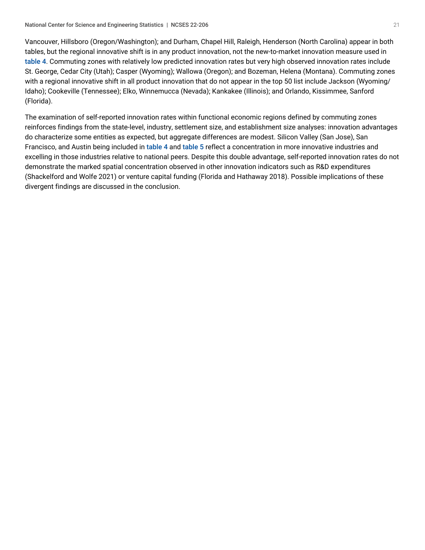Vancouver, Hillsboro (Oregon/Washington); and Durham, Chapel Hill, Raleigh, Henderson (North Carolina) appear in both tables, but the regional innovative shift is in any product innovation, not the new-to-market innovation measure used in [table 4](#page-16-1). Commuting zones with relatively low predicted innovation rates but very high observed innovation rates include St. George, Cedar City (Utah); Casper (Wyoming); Wallowa (Oregon); and Bozeman, Helena (Montana). Commuting zones with a regional innovative shift in all product innovation that do not appear in the top 50 list include Jackson (Wyoming/ Idaho); Cookeville (Tennessee); Elko, Winnemucca (Nevada); Kankakee (Illinois); and Orlando, Kissimmee, Sanford (Florida).

The examination of self-reported innovation rates within functional economic regions defined by commuting zones reinforces findings from the state-level, industry, settlement size, and establishment size analyses: innovation advantages do characterize some entities as expected, but aggregate differences are modest. Silicon Valley (San Jose), San Francisco, and Austin being included in [table 4](#page-16-1) and [table 5](#page-19-0) reflect a concentration in more innovative industries and excelling in those industries relative to national peers. Despite this double advantage, self-reported innovation rates do not demonstrate the marked spatial concentration observed in other innovation indicators such as R&D expenditures (Shackelford and Wolfe 2021) or venture capital funding (Florida and Hathaway 2018). Possible implications of these divergent findings are discussed in the conclusion.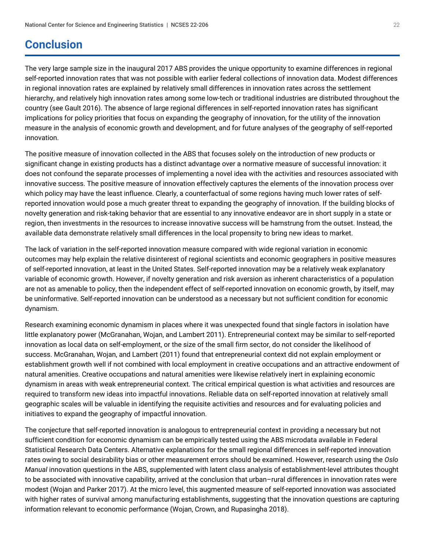## <span id="page-21-0"></span>**Conclusion**

The very large sample size in the inaugural 2017 ABS provides the unique opportunity to examine differences in regional self-reported innovation rates that was not possible with earlier federal collections of innovation data. Modest differences in regional innovation rates are explained by relatively small differences in innovation rates across the settlement hierarchy, and relatively high innovation rates among some low-tech or traditional industries are distributed throughout the country (see Gault 2016). The absence of large regional differences in self-reported innovation rates has significant implications for policy priorities that focus on expanding the geography of innovation, for the utility of the innovation measure in the analysis of economic growth and development, and for future analyses of the geography of self-reported innovation.

The positive measure of innovation collected in the ABS that focuses solely on the introduction of new products or significant change in existing products has a distinct advantage over a normative measure of successful innovation: it does not confound the separate processes of implementing a novel idea with the activities and resources associated with innovative success. The positive measure of innovation effectively captures the elements of the innovation process over which policy may have the least influence. Clearly, a counterfactual of some regions having much lower rates of selfreported innovation would pose a much greater threat to expanding the geography of innovation. If the building blocks of novelty generation and risk-taking behavior that are essential to any innovative endeavor are in short supply in a state or region, then investments in the resources to increase innovative success will be hamstrung from the outset. Instead, the available data demonstrate relatively small differences in the local propensity to bring new ideas to market.

The lack of variation in the self-reported innovation measure compared with wide regional variation in economic outcomes may help explain the relative disinterest of regional scientists and economic geographers in positive measures of self-reported innovation, at least in the United States. Self-reported innovation may be a relatively weak explanatory variable of economic growth. However, if novelty generation and risk aversion as inherent characteristics of a population are not as amenable to policy, then the independent effect of self-reported innovation on economic growth, by itself, may be uninformative. Self-reported innovation can be understood as a necessary but not sufficient condition for economic dynamism.

Research examining economic dynamism in places where it was unexpected found that single factors in isolation have little explanatory power (McGranahan, Wojan, and Lambert 2011). Entrepreneurial context may be similar to self-reported innovation as local data on self-employment, or the size of the small firm sector, do not consider the likelihood of success. McGranahan, Wojan, and Lambert (2011) found that entrepreneurial context did not explain employment or establishment growth well if not combined with local employment in creative occupations and an attractive endowment of natural amenities. Creative occupations and natural amenities were likewise relatively inert in explaining economic dynamism in areas with weak entrepreneurial context. The critical empirical question is what activities and resources are required to transform new ideas into impactful innovations. Reliable data on self-reported innovation at relatively small geographic scales will be valuable in identifying the requisite activities and resources and for evaluating policies and initiatives to expand the geography of impactful innovation.

The conjecture that self-reported innovation is analogous to entrepreneurial context in providing a necessary but not sufficient condition for economic dynamism can be empirically tested using the ABS microdata available in Federal Statistical Research Data Centers. Alternative explanations for the small regional differences in self-reported innovation rates owing to social desirability bias or other measurement errors should be examined. However, research using the *Oslo Manual* innovation questions in the ABS, supplemented with latent class analysis of establishment-level attributes thought to be associated with innovative capability, arrived at the conclusion that urban–rural differences in innovation rates were modest (Wojan and Parker 2017). At the micro level, this augmented measure of self-reported innovation was associated with higher rates of survival among manufacturing establishments, suggesting that the innovation questions are capturing information relevant to economic performance (Wojan, Crown, and Rupasingha 2018).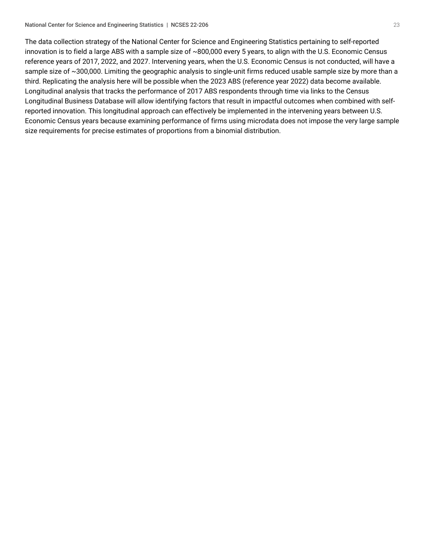The data collection strategy of the National Center for Science and Engineering Statistics pertaining to self-reported innovation is to field a large ABS with a sample size of ~800,000 every 5 years, to align with the U.S. Economic Census reference years of 2017, 2022, and 2027. Intervening years, when the U.S. Economic Census is not conducted, will have a sample size of ~300,000. Limiting the geographic analysis to single-unit firms reduced usable sample size by more than a third. Replicating the analysis here will be possible when the 2023 ABS (reference year 2022) data become available. Longitudinal analysis that tracks the performance of 2017 ABS respondents through time via links to the Census Longitudinal Business Database will allow identifying factors that result in impactful outcomes when combined with selfreported innovation. This longitudinal approach can effectively be implemented in the intervening years between U.S. Economic Census years because examining performance of firms using microdata does not impose the very large sample size requirements for precise estimates of proportions from a binomial distribution.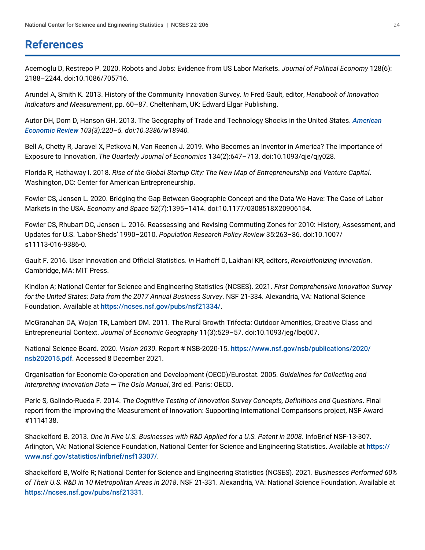### <span id="page-23-0"></span>**References**

Acemoglu D, Restrepo P. 2020. Robots and Jobs: Evidence from US Labor Markets. *Journal of Political Economy* 128(6): 2188–2244. doi:10.1086/705716.

Arundel A, Smith K. 2013. History of the Community Innovation Survey. *In* Fred Gault, editor, *Handbook of Innovation Indicators and Measurement*, pp. 60–87. Cheltenham, UK: Edward Elgar Publishing.

Autor DH, Dorn D, Hanson GH. 2013. The Geography of Trade and Technology Shocks in the United States. *[American](https://www.aeaweb.org/issues/304) [Economic Review](https://www.aeaweb.org/issues/304) 103(3):220–5. doi:10.3386/w18940.*

Bell A, Chetty R, Jaravel X, Petkova N, Van Reenen J. 2019. Who Becomes an Inventor in America? The Importance of Exposure to Innovation, *The Quarterly Journal of Economics* 134(2):647–713. doi:10.1093/qje/qjy028.

Florida R, Hathaway I. 2018. *Rise of the Global Startup City: The New Map of Entrepreneurship and Venture Capital*. Washington, DC: Center for American Entrepreneurship.

Fowler CS, Jensen L. 2020. Bridging the Gap Between Geographic Concept and the Data We Have: The Case of Labor Markets in the USA. *Economy and Space* 52(7):1395–1414. doi:10.1177/0308518X20906154.

Fowler CS, Rhubart DC, Jensen L. 2016. Reassessing and Revising Commuting Zones for 2010: History, Assessment, and Updates for U.S. 'Labor-Sheds' 1990–2010. *Population Research Policy Review* 35:263–86. doi:10.1007/ s11113-016-9386-0.

Gault F. 2016. User Innovation and Official Statistics. *In* Harhoff D, Lakhani KR, editors, *Revolutionizing Innovation*. Cambridge, MA: MIT Press.

Kindlon A; National Center for Science and Engineering Statistics (NCSES). 2021. *First Comprehensive Innovation Survey for the United States: Data from the 2017 Annual Business Survey*. NSF 21-334. Alexandria, VA: National Science Foundation. Available at <https://ncses.nsf.gov/pubs/nsf21334/>.

McGranahan DA, Wojan TR, Lambert DM. 2011. The Rural Growth Trifecta: Outdoor Amenities, Creative Class and Entrepreneurial Context. *Journal of Economic Geography* 11(3):529–57. doi:10.1093/jeg/lbq007.

National Science Board. 2020. *Vision 2030*. Report # NSB-2020-15. [https://www.nsf.gov/nsb/publications/2020/](https://www.nsf.gov/nsb/publications/2020/nsb202015.pdf) [nsb202015.pdf](https://www.nsf.gov/nsb/publications/2020/nsb202015.pdf). Accessed 8 December 2021.

Organisation for Economic Co-operation and Development (OECD)/Eurostat. 2005. *Guidelines for Collecting and Interpreting Innovation Data — The Oslo Manual*, 3rd ed. Paris: OECD.

Peric S, Galindo-Rueda F. 2014. *The Cognitive Testing of Innovation Survey Concepts, Definitions and Questions*. Final report from the Improving the Measurement of Innovation: Supporting International Comparisons project, NSF Award #1114138.

Shackelford B. 2013. *One in Five U.S. Businesses with R&D Applied for a U.S. Patent in 2008*. InfoBrief NSF-13-307. Arlington, VA: National Science Foundation, National Center for Science and Engineering Statistics. Available at [https://](https://www.nsf.gov/statistics/infbrief/nsf13307/) [www.nsf.gov/statistics/infbrief/nsf13307/](https://www.nsf.gov/statistics/infbrief/nsf13307/).

Shackelford B, Wolfe R; National Center for Science and Engineering Statistics (NCSES). 2021. *Businesses Performed 60% of Their U.S. R&D in 10 Metropolitan Areas in 2018*. NSF 21-331. Alexandria, VA: National Science Foundation. Available at <https://ncses.nsf.gov/pubs/nsf21331>.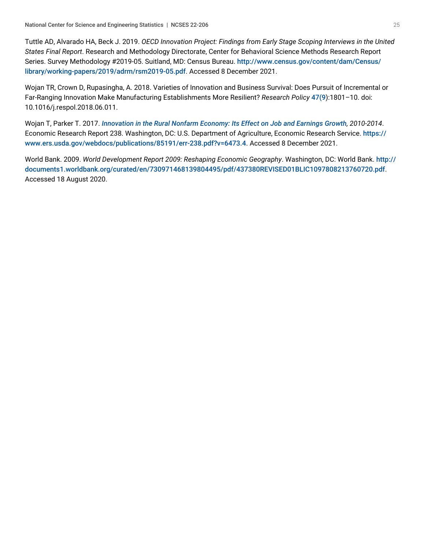Tuttle AD, Alvarado HA, Beck J. 2019. *OECD Innovation Project: Findings from Early Stage Scoping Interviews in the United States Final Report*. Research and Methodology Directorate, Center for Behavioral Science Methods Research Report Series. Survey Methodology #2019-05. Suitland, MD: Census Bureau. [http://www.census.gov/content/dam/Census/](http://www.census.gov/content/dam/Census/library/working-papers/2019/adrm/rsm2019-05.pdf) [library/working-papers/2019/adrm/rsm2019-05.pdf](http://www.census.gov/content/dam/Census/library/working-papers/2019/adrm/rsm2019-05.pdf). Accessed 8 December 2021.

Wojan TR, Crown D, Rupasingha, A. 2018. Varieties of Innovation and Business Survival: Does Pursuit of Incremental or Far-Ranging Innovation Make Manufacturing Establishments More Resilient? *Research Policy* [47\(9](https://www.nsf.gov/cgi-bin/goodbye?https://www.sciencedirect.com/science/journal/00487333/47/9)):1801–10. doi: 10.1016/j.respol.2018.06.011.

Wojan T, Parker T. 2017. *[Innovation in the Rural Nonfarm Economy: Its Effect on Job and Earnings Growth](https://www.ers.usda.gov/webdocs/publications/85191/err-238.pdf?v=42996), 2010-2014*. Economic Research Report 238. Washington, DC: U.S. Department of Agriculture, Economic Research Service. [https://](https://www.ers.usda.gov/webdocs/publications/85191/err-238.pdf?v=6473.4) [www.ers.usda.gov/webdocs/publications/85191/err-238.pdf?v=6473.4](https://www.ers.usda.gov/webdocs/publications/85191/err-238.pdf?v=6473.4). Accessed 8 December 2021.

World Bank. 2009. *World Development Report 2009: Reshaping Economic Geography*. Washington, DC: World Bank. [http://](https://www.nsf.gov/cgi-bin/goodbye?http://documents1.worldbank.org/curated/en/730971468139804495/pdf/437380REVISED01BLIC1097808213760720.pdf) [documents1.worldbank.org/curated/en/730971468139804495/pdf/437380REVISED01BLIC1097808213760720.pdf](https://www.nsf.gov/cgi-bin/goodbye?http://documents1.worldbank.org/curated/en/730971468139804495/pdf/437380REVISED01BLIC1097808213760720.pdf). Accessed 18 August 2020.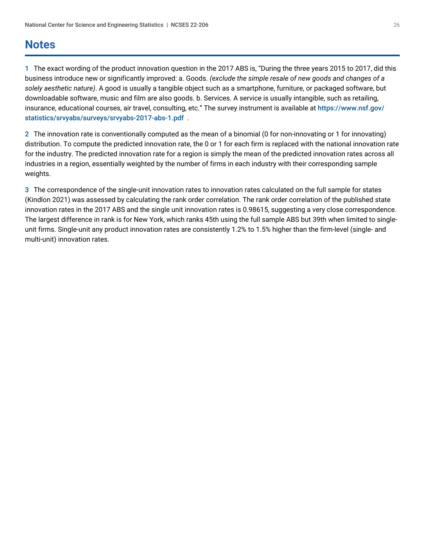## <span id="page-25-0"></span>**Notes**

<span id="page-25-1"></span>[1](#page-5-1) The exact wording of the product innovation question in the 2017 ABS is, "During the three years 2015 to 2017, did this business introduce new or significantly improved: a. Goods. *(exclude the simple resale of new goods and changes of a solely aesthetic nature)*. A good is usually a tangible object such as a smartphone, furniture, or packaged software, but downloadable software, music and film are also goods. b. Services. A service is usually intangible, such as retailing, insurance, educational courses, air travel, consulting, etc." The survey instrument is available at [https://www.nsf.gov/](https://www.nsf.gov/statistics/srvyabs/surveys/srvyabs-2017-abs-1.pdf) [statistics/srvyabs/surveys/srvyabs-2017-abs-1.pdf](https://www.nsf.gov/statistics/srvyabs/surveys/srvyabs-2017-abs-1.pdf) .

<span id="page-25-2"></span>[2](#page-6-1) The innovation rate is conventionally computed as the mean of a binomial (0 for non-innovating or 1 for innovating) distribution. To compute the predicted innovation rate, the 0 or 1 for each firm is replaced with the national innovation rate for the industry. The predicted innovation rate for a region is simply the mean of the predicted innovation rates across all industries in a region, essentially weighted by the number of firms in each industry with their corresponding sample weights.

<span id="page-25-3"></span>[3](#page-12-2) The correspondence of the single-unit innovation rates to innovation rates calculated on the full sample for states (Kindlon 2021) was assessed by calculating the rank order correlation. The rank order correlation of the published state innovation rates in the 2017 ABS and the single unit innovation rates is 0.98615, suggesting a very close correspondence. The largest difference in rank is for New York, which ranks 45th using the full sample ABS but 39th when limited to singleunit firms. Single-unit any product innovation rates are consistently 1.2% to 1.5% higher than the firm-level (single- and multi-unit) innovation rates.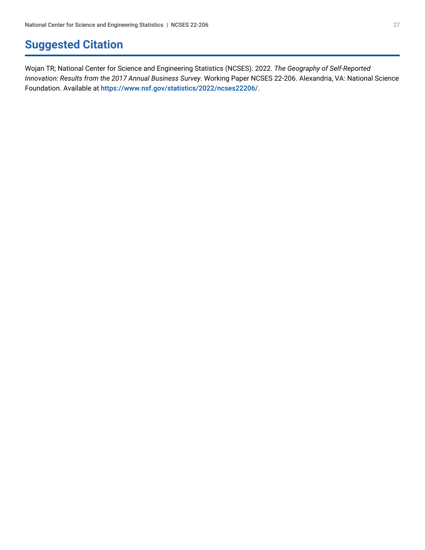## <span id="page-26-0"></span>**Suggested Citation**

Wojan TR; National Center for Science and Engineering Statistics (NCSES). 2022. *The Geography of Self-Reported Innovation: Results from the 2017 Annual Business Survey*. Working Paper NCSES 22-206. Alexandria, VA: National Science Foundation. Available at <https://www.nsf.gov/statistics/2022/ncses22206/>.